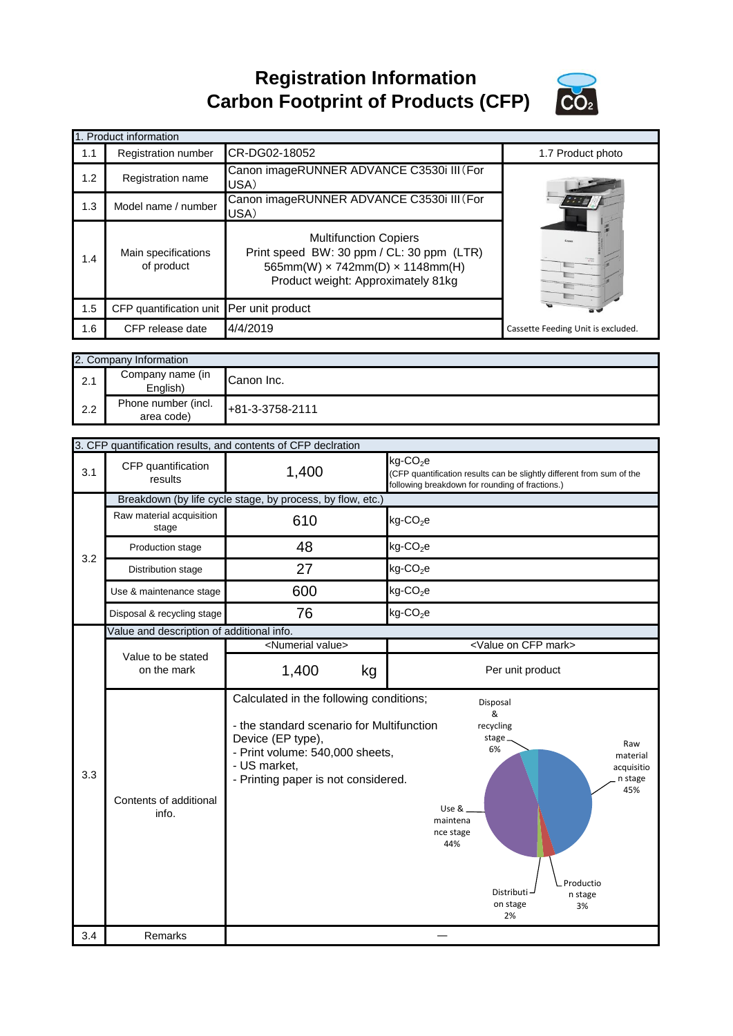**Registration Information Carbon Footprint of Products (CFP)**



|     | 1. Product information                   |                                                                                                                                                                  |                                    |
|-----|------------------------------------------|------------------------------------------------------------------------------------------------------------------------------------------------------------------|------------------------------------|
| 1.1 | <b>Registration number</b>               | CR-DG02-18052                                                                                                                                                    | 1.7 Product photo                  |
| 1.2 | Registration name                        | Canon imageRUNNER ADVANCE C3530i III (For<br>USA)                                                                                                                |                                    |
| 1.3 | Model name / number                      | Canon imageRUNNER ADVANCE C3530i III (For<br>USA)                                                                                                                |                                    |
| 1.4 | Main specifications<br>of product        | <b>Multifunction Copiers</b><br>Print speed BW: 30 ppm / CL: 30 ppm (LTR)<br>565mm(W) $\times$ 742mm(D) $\times$ 1148mm(H)<br>Product weight: Approximately 81kg | Ya                                 |
| 1.5 | CFP quantification unit Per unit product |                                                                                                                                                                  |                                    |
| 1.6 | CFP release date                         | 4/4/2019                                                                                                                                                         | Cassette Feeding Unit is excluded. |

|     | 2. Company Information            |                 |  |
|-----|-----------------------------------|-----------------|--|
| 2.1 | Company name (in<br>English)      | Canon Inc.      |  |
| 2.2 | Phone number (incl.<br>area code) | +81-3-3758-2111 |  |

|            |                                            | 3. CFP quantification results, and contents of CFP declration                                                                                                                                       |                                                                                                                                                                                                                              |  |  |
|------------|--------------------------------------------|-----------------------------------------------------------------------------------------------------------------------------------------------------------------------------------------------------|------------------------------------------------------------------------------------------------------------------------------------------------------------------------------------------------------------------------------|--|--|
| 3.1        | CFP quantification<br>results              | 1,400                                                                                                                                                                                               | kg-CO <sub>2</sub> e<br>(CFP quantification results can be slightly different from sum of the<br>following breakdown for rounding of fractions.)                                                                             |  |  |
|            |                                            | Breakdown (by life cycle stage, by process, by flow, etc.)                                                                                                                                          |                                                                                                                                                                                                                              |  |  |
|            | Raw material acquisition<br>stage          | 610                                                                                                                                                                                                 | $kg$ -CO <sub>2</sub> e                                                                                                                                                                                                      |  |  |
| 3.2        | Production stage                           | 48                                                                                                                                                                                                  | $kg$ -CO <sub>2</sub> e                                                                                                                                                                                                      |  |  |
|            | Distribution stage                         | 27                                                                                                                                                                                                  | $kg$ -CO <sub>2</sub> e                                                                                                                                                                                                      |  |  |
|            | Use & maintenance stage                    | 600                                                                                                                                                                                                 | $kg$ -CO <sub>2</sub> e                                                                                                                                                                                                      |  |  |
|            | Disposal & recycling stage                 | 76                                                                                                                                                                                                  | $kg$ -CO <sub>2</sub> e                                                                                                                                                                                                      |  |  |
|            | Value and description of additional info.  |                                                                                                                                                                                                     |                                                                                                                                                                                                                              |  |  |
|            |                                            | <numerial value=""></numerial>                                                                                                                                                                      | <value cfp="" mark="" on=""></value>                                                                                                                                                                                         |  |  |
|            | Value to be stated<br>on the mark          | 1,400<br>kg                                                                                                                                                                                         | Per unit product                                                                                                                                                                                                             |  |  |
|            |                                            |                                                                                                                                                                                                     |                                                                                                                                                                                                                              |  |  |
| 3.3<br>3.4 | Contents of additional<br>info.<br>Remarks | Calculated in the following conditions;<br>- the standard scenario for Multifunction<br>Device (EP type),<br>- Print volume: 540,000 sheets,<br>- US market,<br>- Printing paper is not considered. | Disposal<br>$\boldsymbol{\mathsf{R}}$<br>recycling<br>stage.<br>Raw<br>6%<br>material<br>acquisitio<br>n stage<br>45%<br>Use &<br>maintena<br>nce stage<br>44%<br>Productio<br>Distributi<br>n stage<br>on stage<br>3%<br>2% |  |  |